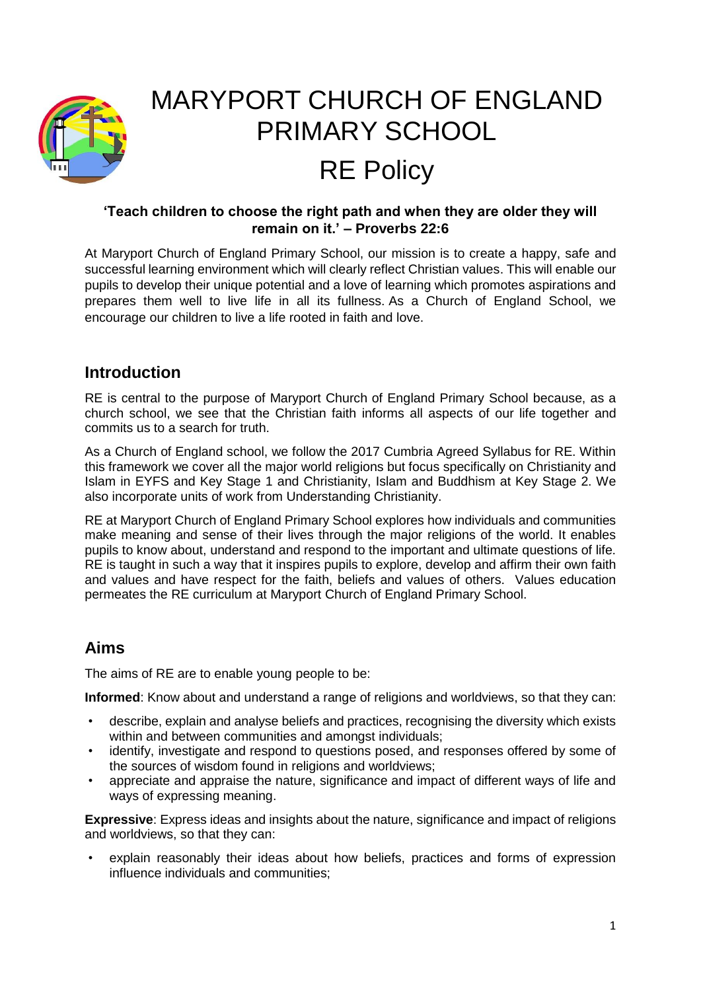

# MARYPORT CHURCH OF ENGLAND PRIMARY SCHOOL RE Policy

#### **'Teach children to choose the right path and when they are older they will remain on it.' – Proverbs 22:6**

At Maryport Church of England Primary School, our mission is to create a happy, safe and successful learning environment which will clearly reflect Christian values. This will enable our pupils to develop their unique potential and a love of learning which promotes aspirations and prepares them well to live life in all its fullness. As a Church of England School, we encourage our children to live a life rooted in faith and love.

# **Introduction**

RE is central to the purpose of Maryport Church of England Primary School because, as a church school, we see that the Christian faith informs all aspects of our life together and commits us to a search for truth.

As a Church of England school, we follow the 2017 Cumbria Agreed Syllabus for RE. Within this framework we cover all the major world religions but focus specifically on Christianity and Islam in EYFS and Key Stage 1 and Christianity, Islam and Buddhism at Key Stage 2. We also incorporate units of work from Understanding Christianity.

RE at Maryport Church of England Primary School explores how individuals and communities make meaning and sense of their lives through the major religions of the world. It enables pupils to know about, understand and respond to the important and ultimate questions of life. RE is taught in such a way that it inspires pupils to explore, develop and affirm their own faith and values and have respect for the faith, beliefs and values of others. Values education permeates the RE curriculum at Maryport Church of England Primary School.

# **Aims**

The aims of RE are to enable young people to be:

**Informed**: Know about and understand a range of religions and worldviews, so that they can:

- describe, explain and analyse beliefs and practices, recognising the diversity which exists within and between communities and amongst individuals:
- identify, investigate and respond to questions posed, and responses offered by some of the sources of wisdom found in religions and worldviews;
- appreciate and appraise the nature, significance and impact of different ways of life and ways of expressing meaning.

**Expressive**: Express ideas and insights about the nature, significance and impact of religions and worldviews, so that they can:

explain reasonably their ideas about how beliefs, practices and forms of expression influence individuals and communities;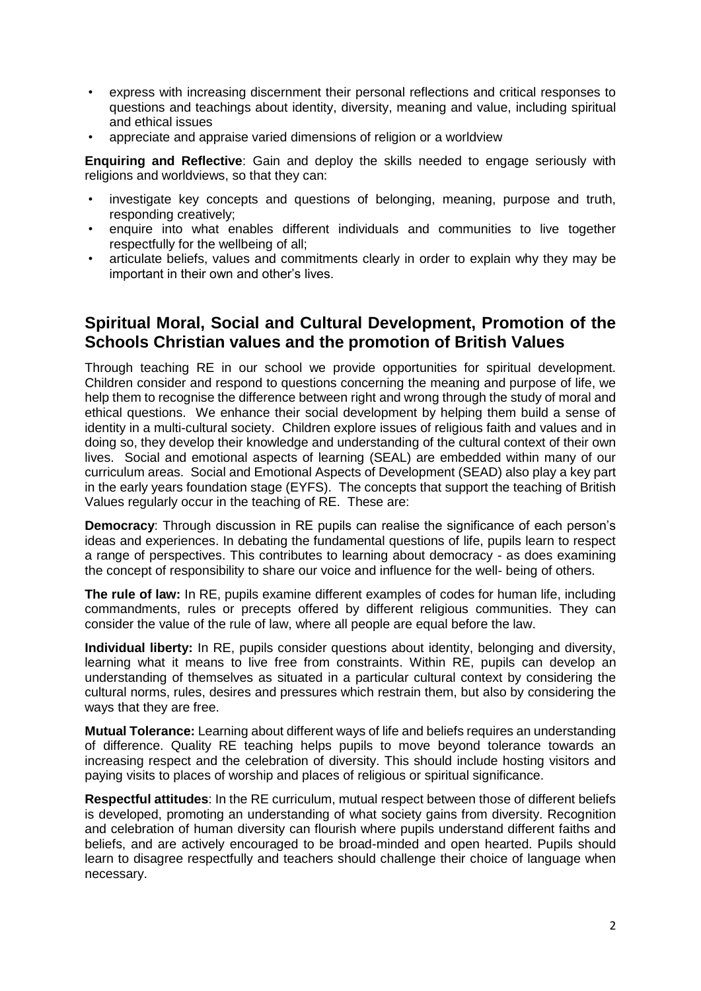- express with increasing discernment their personal reflections and critical responses to questions and teachings about identity, diversity, meaning and value, including spiritual and ethical issues
- appreciate and appraise varied dimensions of religion or a worldview

**Enquiring and Reflective**: Gain and deploy the skills needed to engage seriously with religions and worldviews, so that they can:

- investigate key concepts and questions of belonging, meaning, purpose and truth, responding creatively;
- enquire into what enables different individuals and communities to live together respectfully for the wellbeing of all;
- articulate beliefs, values and commitments clearly in order to explain why they may be important in their own and other's lives.

### **Spiritual Moral, Social and Cultural Development, Promotion of the Schools Christian values and the promotion of British Values**

Through teaching RE in our school we provide opportunities for spiritual development. Children consider and respond to questions concerning the meaning and purpose of life, we help them to recognise the difference between right and wrong through the study of moral and ethical questions. We enhance their social development by helping them build a sense of identity in a multi-cultural society. Children explore issues of religious faith and values and in doing so, they develop their knowledge and understanding of the cultural context of their own lives. Social and emotional aspects of learning (SEAL) are embedded within many of our curriculum areas. Social and Emotional Aspects of Development (SEAD) also play a key part in the early years foundation stage (EYFS). The concepts that support the teaching of British Values regularly occur in the teaching of RE. These are:

**Democracy**: Through discussion in RE pupils can realise the significance of each person's ideas and experiences. In debating the fundamental questions of life, pupils learn to respect a range of perspectives. This contributes to learning about democracy - as does examining the concept of responsibility to share our voice and influence for the well- being of others.

**The rule of law:** In RE, pupils examine different examples of codes for human life, including commandments, rules or precepts offered by different religious communities. They can consider the value of the rule of law, where all people are equal before the law.

**Individual liberty:** In RE, pupils consider questions about identity, belonging and diversity, learning what it means to live free from constraints. Within RE, pupils can develop an understanding of themselves as situated in a particular cultural context by considering the cultural norms, rules, desires and pressures which restrain them, but also by considering the ways that they are free.

**Mutual Tolerance:** Learning about different ways of life and beliefs requires an understanding of difference. Quality RE teaching helps pupils to move beyond tolerance towards an increasing respect and the celebration of diversity. This should include hosting visitors and paying visits to places of worship and places of religious or spiritual significance.

**Respectful attitudes**: In the RE curriculum, mutual respect between those of different beliefs is developed, promoting an understanding of what society gains from diversity. Recognition and celebration of human diversity can flourish where pupils understand different faiths and beliefs, and are actively encouraged to be broad-minded and open hearted. Pupils should learn to disagree respectfully and teachers should challenge their choice of language when necessary.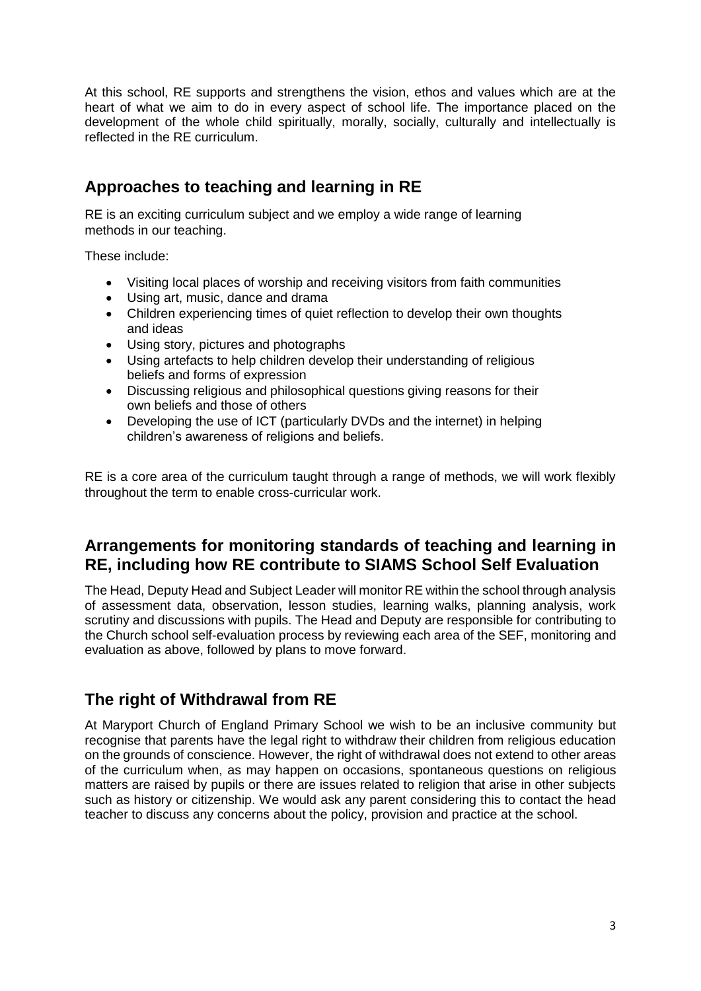At this school, RE supports and strengthens the vision, ethos and values which are at the heart of what we aim to do in every aspect of school life. The importance placed on the development of the whole child spiritually, morally, socially, culturally and intellectually is reflected in the RE curriculum.

# **Approaches to teaching and learning in RE**

RE is an exciting curriculum subject and we employ a wide range of learning methods in our teaching.

These include:

- Visiting local places of worship and receiving visitors from faith communities
- Using art, music, dance and drama
- Children experiencing times of quiet reflection to develop their own thoughts and ideas
- Using story, pictures and photographs
- Using artefacts to help children develop their understanding of religious beliefs and forms of expression
- Discussing religious and philosophical questions giving reasons for their own beliefs and those of others
- Developing the use of ICT (particularly DVDs and the internet) in helping children's awareness of religions and beliefs.

RE is a core area of the curriculum taught through a range of methods, we will work flexibly throughout the term to enable cross-curricular work.

# **Arrangements for monitoring standards of teaching and learning in RE, including how RE contribute to SIAMS School Self Evaluation**

The Head, Deputy Head and Subject Leader will monitor RE within the school through analysis of assessment data, observation, lesson studies, learning walks, planning analysis, work scrutiny and discussions with pupils. The Head and Deputy are responsible for contributing to the Church school self-evaluation process by reviewing each area of the SEF, monitoring and evaluation as above, followed by plans to move forward.

# **The right of Withdrawal from RE**

At Maryport Church of England Primary School we wish to be an inclusive community but recognise that parents have the legal right to withdraw their children from religious education on the grounds of conscience. However, the right of withdrawal does not extend to other areas of the curriculum when, as may happen on occasions, spontaneous questions on religious matters are raised by pupils or there are issues related to religion that arise in other subjects such as history or citizenship. We would ask any parent considering this to contact the head teacher to discuss any concerns about the policy, provision and practice at the school.